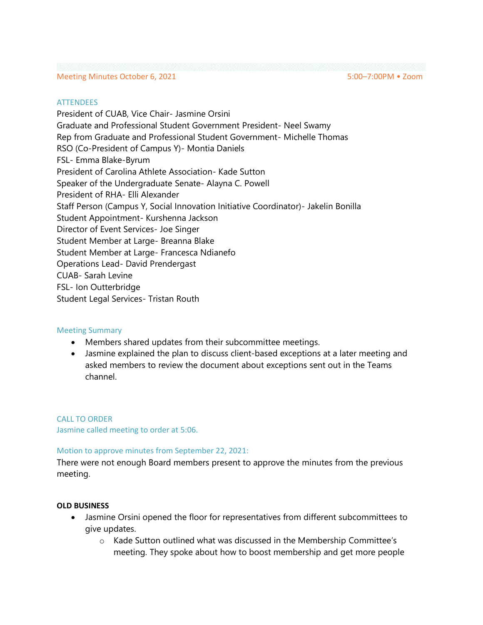### Meeting Minutes October 6, 2021 5:00-7:00PM • Zoom

#### **ATTENDEES**

President of CUAB, Vice Chair- Jasmine Orsini Graduate and Professional Student Government President- Neel Swamy Rep from Graduate and Professional Student Government- Michelle Thomas RSO (Co-President of Campus Y)- Montia Daniels FSL- Emma Blake-Byrum President of Carolina Athlete Association- Kade Sutton Speaker of the Undergraduate Senate- Alayna C. Powell President of RHA- Elli Alexander Staff Person (Campus Y, Social Innovation Initiative Coordinator)- Jakelin Bonilla Student Appointment- Kurshenna Jackson Director of Event Services- Joe Singer Student Member at Large- Breanna Blake Student Member at Large- Francesca Ndianefo Operations Lead- David Prendergast CUAB- Sarah Levine FSL- Ion Outterbridge Student Legal Services- Tristan Routh

#### Meeting Summary

- Members shared updates from their subcommittee meetings.
- Jasmine explained the plan to discuss client-based exceptions at a later meeting and asked members to review the document about exceptions sent out in the Teams channel.

CALL TO ORDER Jasmine called meeting to order at 5:06.

## Motion to approve minutes from September 22, 2021:

There were not enough Board members present to approve the minutes from the previous meeting.

## **OLD BUSINESS**

- Jasmine Orsini opened the floor for representatives from different subcommittees to give updates.
	- o Kade Sutton outlined what was discussed in the Membership Committee's meeting. They spoke about how to boost membership and get more people